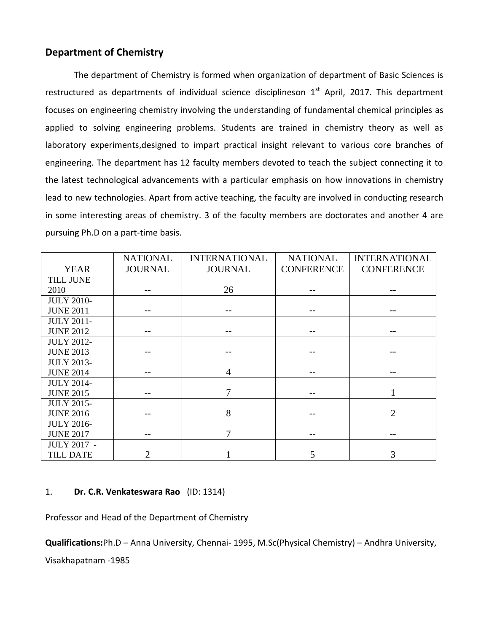## **Department of Chemistry**

The department of Chemistry is formed when organization of department of Basic Sciences is restructured as departments of individual science disciplineson  $1<sup>st</sup>$  April, 2017. This department focuses on engineering chemistry involving the understanding of fundamental chemical principles as applied to solving engineering problems. Students are trained in chemistry theory as well as laboratory experiments,designed to impart practical insight relevant to various core branches of engineering. The department has 12 faculty members devoted to teach the subject connecting it to the latest technological advancements with a particular emphasis on how innovations in chemistry lead to new technologies. Apart from active teaching, the faculty are involved in conducting research in some interesting areas of chemistry. 3 of the faculty members are doctorates and another 4 are pursuing Ph.D on a part-time basis.

|                    | <b>NATIONAL</b> | <b>INTERNATIONAL</b> | <b>NATIONAL</b>   | <b>INTERNATIONAL</b> |
|--------------------|-----------------|----------------------|-------------------|----------------------|
| <b>YEAR</b>        | <b>JOURNAL</b>  | <b>JOURNAL</b>       | <b>CONFERENCE</b> | <b>CONFERENCE</b>    |
| <b>TILL JUNE</b>   |                 |                      |                   |                      |
| 2010               |                 | 26                   |                   |                      |
| <b>JULY 2010-</b>  |                 |                      |                   |                      |
| <b>JUNE 2011</b>   |                 |                      |                   |                      |
| <b>JULY 2011-</b>  |                 |                      |                   |                      |
| <b>JUNE 2012</b>   |                 |                      |                   |                      |
| <b>JULY 2012-</b>  |                 |                      |                   |                      |
| <b>JUNE 2013</b>   |                 |                      |                   |                      |
| <b>JULY 2013-</b>  |                 |                      |                   |                      |
| <b>JUNE 2014</b>   |                 | 4                    |                   |                      |
| <b>JULY 2014-</b>  |                 |                      |                   |                      |
| <b>JUNE 2015</b>   |                 | 7                    |                   |                      |
| <b>JULY 2015-</b>  |                 |                      |                   |                      |
| <b>JUNE 2016</b>   |                 | 8                    | --                | $\overline{2}$       |
| <b>JULY 2016-</b>  |                 |                      |                   |                      |
| <b>JUNE 2017</b>   |                 | 7                    |                   |                      |
| <b>JULY 2017 -</b> |                 |                      |                   |                      |
| <b>TILL DATE</b>   | 2               |                      | 5                 | 3                    |

#### 1. **Dr. C.R. Venkateswara Rao** (ID: 1314)

Professor and Head of the Department of Chemistry

**Qualifications:**Ph.D – Anna University, Chennai- 1995, M.Sc(Physical Chemistry) – Andhra University,

Visakhapatnam -1985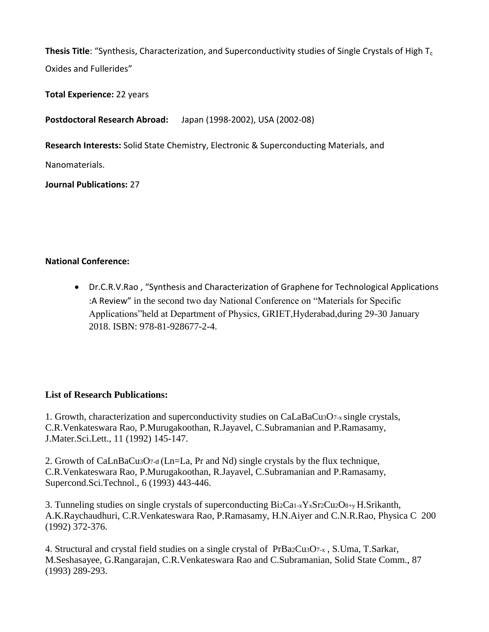**Thesis Title**: "Synthesis, Characterization, and Superconductivity studies of Single Crystals of High T<sub>c</sub> Oxides and Fullerides"

**Total Experience:** 22 years

**Postdoctoral Research Abroad:** Japan (1998-2002), USA (2002-08)

**Research Interests:** Solid State Chemistry, Electronic & Superconducting Materials, and

Nanomaterials.

**Journal Publications:** 27

# **National Conference:**

 Dr.C.R.V.Rao , "Synthesis and Characterization of Graphene for Technological Applications :A Review" in the second two day National Conference on "Materials for Specific Applications"held at Department of Physics, GRIET,Hyderabad,during 29-30 January 2018. ISBN: 978-81-928677-2-4.

## **List of Research Publications:**

1. Growth, characterization and superconductivity studies on CaLaBaCu3O7-x single crystals, C.R.Venkateswara Rao, P.Murugakoothan, R.Jayavel, C.Subramanian and P.Ramasamy, J.Mater.Sci.Lett., 11 (1992) 145-147.

2. Growth of CaLnBaCu3O7-<sup>d</sup>(Ln=La, Pr and Nd) single crystals by the flux technique, C.R.Venkateswara Rao, P.Murugakoothan, R.Jayavel, C.Subramanian and P.Ramasamy, Supercond.Sci.Technol., 6 (1993) 443-446.

3. Tunneling studies on single crystals of superconducting Bi2Ca1-xYxSr2Cu2O8+y H.Srikanth, A.K.Raychaudhuri, C.R.Venkateswara Rao, P.Ramasamy, H.N.Aiyer and C.N.R.Rao, Physica C 200 (1992) 372-376.

4. Structural and crystal field studies on a single crystal of PrBa2Cu3O7-x , S.Uma, T.Sarkar, M.Seshasayee, G.Rangarajan, C.R.Venkateswara Rao and C.Subramanian, Solid State Comm., 87 (1993) 289-293.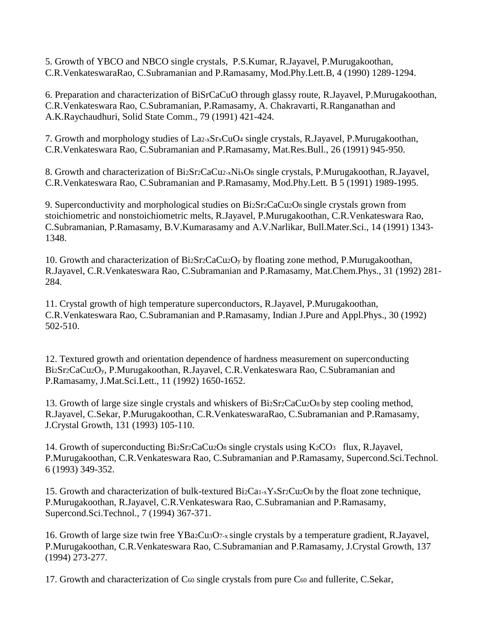5. Growth of YBCO and NBCO single crystals, P.S.Kumar, R.Jayavel, P.Murugakoothan, C.R.VenkateswaraRao, C.Subramanian and P.Ramasamy, Mod.Phy.Lett.B, 4 (1990) 1289-1294.

6. Preparation and characterization of BiSrCaCuO through glassy route, R.Jayavel, P.Murugakoothan, C.R.Venkateswara Rao, C.Subramanian, P.Ramasamy, A. Chakravarti, R.Ranganathan and A.K.Raychaudhuri, Solid State Comm., 79 (1991) 421-424.

7. Growth and morphology studies of La2-xSrxCuO<sup>4</sup> single crystals, R.Jayavel, P.Murugakoothan, C.R.Venkateswara Rao, C.Subramanian and P.Ramasamy, Mat.Res.Bull., 26 (1991) 945-950.

8. Growth and characterization of Bi2Sr2CaCu2-xNixO<sup>8</sup> single crystals, P.Murugakoothan, R.Jayavel, C.R.Venkateswara Rao, C.Subramanian and P.Ramasamy, Mod.Phy.Lett. B 5 (1991) 1989-1995.

9. Superconductivity and morphological studies on Bi2Sr2CaCu2O8 single crystals grown from stoichiometric and nonstoichiometric melts, R.Jayavel, P.Murugakoothan, C.R.Venkateswara Rao, C.Subramanian, P.Ramasamy, B.V.Kumarasamy and A.V.Narlikar, Bull.Mater.Sci., 14 (1991) 1343- 1348.

10. Growth and characterization of Bi2Sr2CaCu2O<sup>y</sup> by floating zone method, P.Murugakoothan, R.Jayavel, C.R.Venkateswara Rao, C.Subramanian and P.Ramasamy, Mat.Chem.Phys., 31 (1992) 281- 284.

11. Crystal growth of high temperature superconductors, R.Jayavel, P.Murugakoothan, C.R.Venkateswara Rao, C.Subramanian and P.Ramasamy, Indian J.Pure and Appl.Phys., 30 (1992) 502-510.

12. Textured growth and orientation dependence of hardness measurement on superconducting Bi2Sr2CaCu2Oy, P.Murugakoothan, R.Jayavel, C.R.Venkateswara Rao, C.Subramanian and P.Ramasamy, J.Mat.Sci.Lett., 11 (1992) 1650-1652.

13. Growth of large size single crystals and whiskers of Bi2Sr2CaCu2O8 by step cooling method, R.Jayavel, C.Sekar, P.Murugakoothan, C.R.VenkateswaraRao, C.Subramanian and P.Ramasamy, J.Crystal Growth, 131 (1993) 105-110.

14. Growth of superconducting Bi2Sr2CaCu2Os single crystals using K2CO3 flux, R.Jayavel, P.Murugakoothan, C.R.Venkateswara Rao, C.Subramanian and P.Ramasamy, Supercond.Sci.Technol. 6 (1993) 349-352.

15. Growth and characterization of bulk-textured Bi2Ca1-xYxSr2Cu2O8 by the float zone technique, P.Murugakoothan, R.Jayavel, C.R.Venkateswara Rao, C.Subramanian and P.Ramasamy, Supercond.Sci.Technol., 7 (1994) 367-371.

16. Growth of large size twin free YBa2Cu3O7-x single crystals by a temperature gradient, R.Jayavel, P.Murugakoothan, C.R.Venkateswara Rao, C.Subramanian and P.Ramasamy, J.Crystal Growth, 137 (1994) 273-277.

17. Growth and characterization of C<sub>60</sub> single crystals from pure C<sub>60</sub> and fullerite, C.Sekar,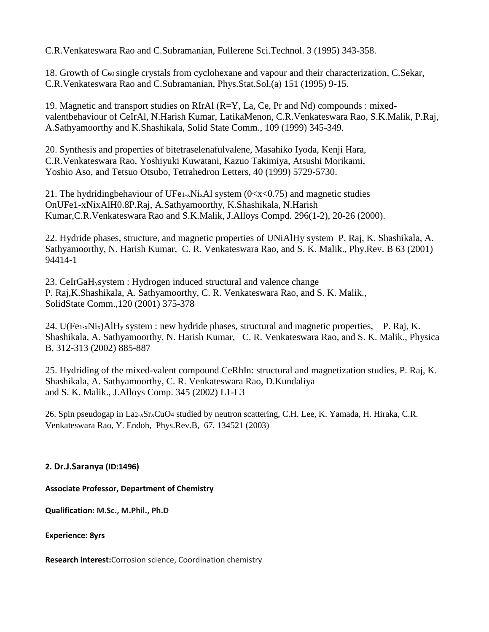C.R.Venkateswara Rao and C.Subramanian, Fullerene Sci.Technol. 3 (1995) 343-358.

18. Growth of C60 single crystals from cyclohexane and vapour and their characterization, C.Sekar, C.R.Venkateswara Rao and C.Subramanian, Phys.Stat.Sol.(a) 151 (1995) 9-15.

19. Magnetic and transport studies on RIrAl (R=Y, La, Ce, Pr and Nd) compounds : mixedvalentbehaviour of CeIrAl, N.Harish Kumar, LatikaMenon, C.R.Venkateswara Rao, S.K.Malik, P.Raj, A.Sathyamoorthy and K.Shashikala, Solid State Comm., 109 (1999) 345-349.

20. Synthesis and properties of bitetraselenafulvalene, Masahiko Iyoda, Kenji Hara, C.R.Venkateswara Rao, Yoshiyuki Kuwatani, Kazuo Takimiya, Atsushi Morikami, Yoshio Aso, and Tetsuo Otsubo, Tetrahedron Letters, 40 (1999) 5729-5730.

21. The hydridingbehaviour of UFe<sub>1-x</sub>Ni<sub>x</sub>Al system ( $0 \lt x \lt 0.75$ ) and magnetic studies OnUFe1-xNixAlH0.8P.Raj, A.Sathyamoorthy, K.Shashikala, N.Harish Kumar,C.R.Venkateswara Rao and S.K.Malik, J.Alloys Compd. 296(1-2), 20-26 (2000).

22. Hydride phases, structure, and magnetic properties of UNiAlHy system P. Raj, K. Shashikala, A. Sathyamoorthy, N. Harish Kumar, C. R. Venkateswara Rao, and S. K. Malik., Phy.Rev. B 63 (2001) 94414-1

23. CeIrGaHysystem : Hydrogen induced structural and valence change P. Raj,K.Shashikala, A. Sathyamoorthy, C. R. Venkateswara Rao, and S. K. Malik., SolidState Comm.,120 (2001) 375-378

24. U(Fe<sub>1-x</sub>Ni<sub>x</sub>)AlH<sub>y</sub> system : new hydride phases, structural and magnetic properties, P. Raj, K. Shashikala, A. Sathyamoorthy, N. Harish Kumar, C. R. Venkateswara Rao, and S. K. Malik., Physica B, 312-313 (2002) 885-887

25. Hydriding of the mixed-valent compound CeRhIn: structural and magnetization studies, P. Raj, K. Shashikala, A. Sathyamoorthy, C. R. Venkateswara Rao, D.Kundaliya and S. K. Malik., J.Alloys Comp. 345 (2002) L1-L3

26. Spin pseudogap in La2-xSrxCuO4 studied by neutron scattering, C.H. Lee, K. Yamada, H. Hiraka, C.R. Venkateswara Rao, Y. Endoh, Phys.Rev.B, 67, 134521 (2003)

#### **2. Dr.J.Saranya (ID:1496)**

**Associate Professor, Department of Chemistry**

**Qualification: M.Sc., M.Phil., Ph.D**

**Experience: 8yrs**

**Research interest:**Corrosion science, Coordination chemistry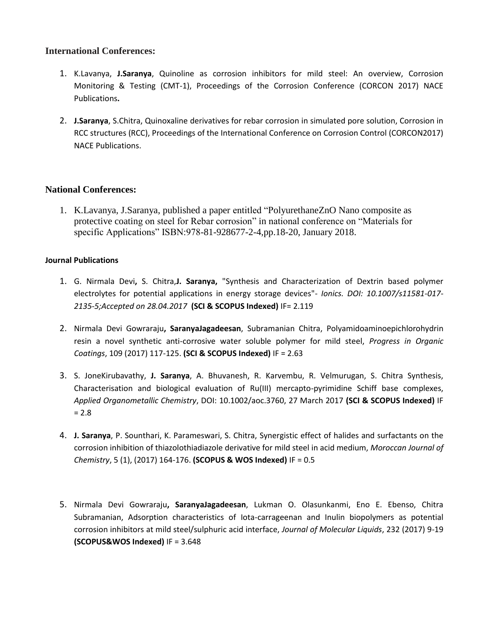#### **International Conferences:**

- 1. K.Lavanya, **J.Saranya**, Quinoline as corrosion inhibitors for mild steel: An overview, Corrosion Monitoring & Testing (CMT-1), Proceedings of the Corrosion Conference (CORCON 2017) NACE Publications**.**
- 2. **J.Saranya**, S.Chitra, Quinoxaline derivatives for rebar corrosion in simulated pore solution, Corrosion in RCC structures (RCC), Proceedings of the International Conference on Corrosion Control (CORCON2017) NACE Publications.

#### **National Conferences:**

1. K.Lavanya, J.Saranya, published a paper entitled "PolyurethaneZnO Nano composite as protective coating on steel for Rebar corrosion" in national conference on "Materials for specific Applications" ISBN:978-81-928677-2-4,pp.18-20, January 2018.

#### **Journal Publications**

- 1. G. Nirmala Devi**,** S. Chitra,**J. Saranya,** "Synthesis and Characterization of Dextrin based polymer electrolytes for potential applications in energy storage devices"- *Ionics. DOI: 10.1007/s11581-017- 2135-5;Accepted on 28.04.2017* **(SCI & SCOPUS Indexed)** IF= 2.119
- 2. Nirmala Devi Gowraraju**, SaranyaJagadeesan**, Subramanian Chitra, Polyamidoaminoepichlorohydrin resin a novel synthetic anti-corrosive water soluble polymer for mild steel, *Progress in Organic Coatings*, 109 (2017) 117-125. **(SCI & SCOPUS Indexed)** IF = 2.63
- 3. S. JoneKirubavathy, **J. Saranya**, A. Bhuvanesh, R. Karvembu, R. Velmurugan, S. Chitra Synthesis, Characterisation and biological evaluation of Ru(III) mercapto-pyrimidine Schiff base complexes, *Applied Organometallic Chemistry*, DOI: 10.1002/aoc.3760, 27 March 2017 **(SCI & SCOPUS Indexed)** IF  $= 2.8$
- 4. **J. Saranya**, P. Sounthari, K. Parameswari, S. Chitra, Synergistic effect of halides and surfactants on the corrosion inhibition of thiazolothiadiazole derivative for mild steel in acid medium, *Moroccan Journal of Chemistry*, 5 (1), (2017) 164-176. **(SCOPUS & WOS Indexed)** IF = 0.5
- 5. Nirmala Devi Gowraraju**, SaranyaJagadeesan**, Lukman O. Olasunkanmi, Eno E. Ebenso, Chitra Subramanian, Adsorption characteristics of Iota-carrageenan and Inulin biopolymers as potential corrosion inhibitors at mild steel/sulphuric acid interface, *Journal of Molecular Liquids*, 232 (2017) 9-19 **(SCOPUS&WOS Indexed)** IF = 3.648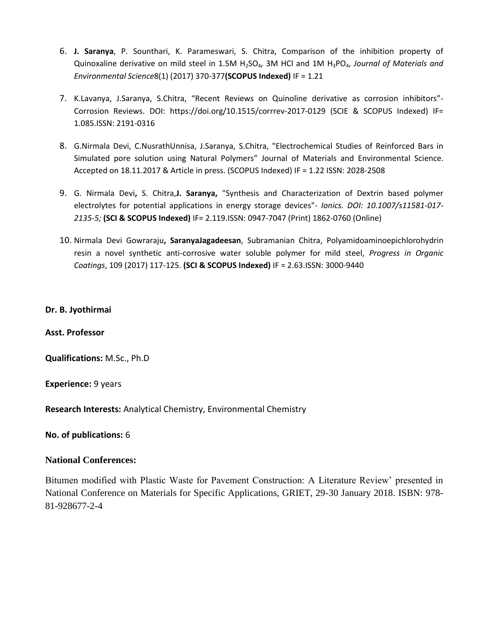- 6. **J. Saranya**, P. Sounthari, K. Parameswari, S. Chitra, Comparison of the inhibition property of Quinoxaline derivative on mild steel in 1.5M H2SO4, 3M HCl and 1M H3PO4, *Journal of Materials and Environmental Science*8(1) (2017) 370-377**(SCOPUS Indexed)** IF = 1.21
- 7. K.Lavanya, J.Saranya, S.Chitra, "Recent Reviews on Quinoline derivative as corrosion inhibitors"- Corrosion Reviews. DOI: https://doi.org/10.1515/corrrev-2017-0129 (SCIE & SCOPUS Indexed) IF= 1.085.ISSN: 2191-0316
- 8. G.Nirmala Devi, C.NusrathUnnisa, J.Saranya, S.Chitra, "Electrochemical Studies of Reinforced Bars in Simulated pore solution using Natural Polymers" Journal of Materials and Environmental Science. Accepted on 18.11.2017 & Article in press. (SCOPUS Indexed) IF = 1.22 ISSN: 2028-2508
- 9. G. Nirmala Devi**,** S. Chitra,**J. Saranya,** "Synthesis and Characterization of Dextrin based polymer electrolytes for potential applications in energy storage devices"- *Ionics. DOI: 10.1007/s11581-017- 2135-5;* **(SCI & SCOPUS Indexed)** IF= 2.119.ISSN: 0947-7047 (Print) 1862-0760 (Online)
- 10. Nirmala Devi Gowraraju**, SaranyaJagadeesan**, Subramanian Chitra, Polyamidoaminoepichlorohydrin resin a novel synthetic anti-corrosive water soluble polymer for mild steel, *Progress in Organic Coatings*, 109 (2017) 117-125. **(SCI & SCOPUS Indexed)** IF = 2.63.ISSN: 3000-9440

#### **Dr. B. Jyothirmai**

**Asst. Professor**

**Qualifications:** M.Sc., Ph.D

**Experience:** 9 years

**Research Interests:** Analytical Chemistry, Environmental Chemistry

**No. of publications:** 6

#### **National Conferences:**

Bitumen modified with Plastic Waste for Pavement Construction: A Literature Review' presented in National Conference on Materials for Specific Applications, GRIET, 29-30 January 2018. ISBN: 978- 81-928677-2-4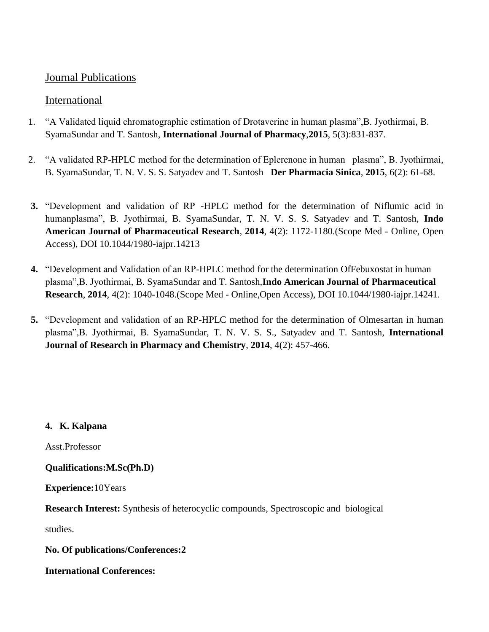# Journal Publications

# International

- 1. "A Validated liquid chromatographic estimation of Drotaverine in human plasma",B. Jyothirmai, B. SyamaSundar and T. Santosh, **International Journal of Pharmacy**,**2015**, 5(3):831-837.
- 2. "A validated RP-HPLC method for the determination of Eplerenone in human plasma", B. Jyothirmai, B. SyamaSundar, T. N. V. S. S. Satyadev and T. Santosh **Der Pharmacia Sinica**, **2015**, 6(2): 61-68.
- **3.** "Development and validation of RP -HPLC method for the determination of Niflumic acid in humanplasma", B. Jyothirmai, B. SyamaSundar, T. N. V. S. S. Satyadev and T. Santosh, **Indo American Journal of Pharmaceutical Research**, **2014**, 4(2): 1172-1180.(Scope Med - Online, Open Access), DOI 10.1044/1980-iajpr.14213
- **4.** "Development and Validation of an RP-HPLC method for the determination OfFebuxostat in human plasma",B. Jyothirmai, B. SyamaSundar and T. Santosh,**Indo American Journal of Pharmaceutical Research**, **2014**, 4(2): 1040-1048.(Scope Med - Online,Open Access), DOI 10.1044/1980-iajpr.14241.
- **5.** "Development and validation of an RP-HPLC method for the determination of Olmesartan in human plasma",B. Jyothirmai, B. SyamaSundar, T. N. V. S. S., Satyadev and T. Santosh, **International Journal of Research in Pharmacy and Chemistry**, **2014**, 4(2): 457-466.

# **4. K. Kalpana**

Asst.Professor

## **Qualifications:M.Sc(Ph.D)**

**Experience:**10Years

**Research Interest:** Synthesis of heterocyclic compounds, Spectroscopic and biological

studies.

## **No. Of publications/Conferences:2**

## **International Conferences:**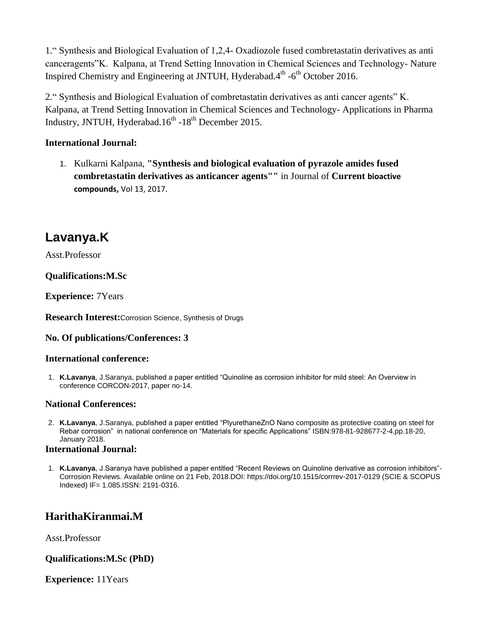1." Synthesis and Biological Evaluation of 1,2,4- Oxadiozole fused combretastatin derivatives as anti canceragents"K. Kalpana, at Trend Setting Innovation in Chemical Sciences and Technology- Nature Inspired Chemistry and Engineering at JNTUH, Hyderabad.4<sup>th</sup> -6<sup>th</sup> October 2016.

2." Synthesis and Biological Evaluation of combretastatin derivatives as anti cancer agents" K. Kalpana, at Trend Setting Innovation in Chemical Sciences and Technology- Applications in Pharma Industry, JNTUH, Hyderabad. $16^{th}$  - $18^{th}$  December 2015.

## **International Journal:**

1. Kulkarni Kalpana, **"Synthesis and biological evaluation of pyrazole amides fused combretastatin derivatives as anticancer agents""** in Journal of **Current bioactive compounds,** Vol 13, 2017.

# **Lavanya.K**

Asst.Professor

# **Qualifications:M.Sc**

**Experience:** 7Years

**Research Interest:**Corrosion Science, Synthesis of Drugs

## **No. Of publications/Conferences: 3**

## **International conference:**

1. **K.Lavanya**, J.Saranya, published a paper entitled "Quinoline as corrosion inhibitor for mild steel: An Overview in conference CORCON-2017, paper no-14.

## **National Conferences:**

2. **K.Lavanya**, J.Saranya, published a paper entitled "PlyurethaneZnO Nano composite as protective coating on steel for Rebar corrosion" in national conference on "Materials for specific Applications" ISBN:978-81-928677-2-4,pp.18-20, January 2018.

#### **International Journal:**

1. **K.Lavanya**, J.Saranya have published a paper entitled "Recent Reviews on Quinoline derivative as corrosion inhibitors"- Corrosion Reviews. Available online on 21 Feb, 2018.DOI: https://doi.org/10.1515/corrrev-2017-0129 (SCIE & SCOPUS Indexed) IF= 1.085.ISSN: 2191-0316.

# **HarithaKiranmai.M**

Asst.Professor

## **Qualifications:M.Sc (PhD)**

**Experience:** 11Years